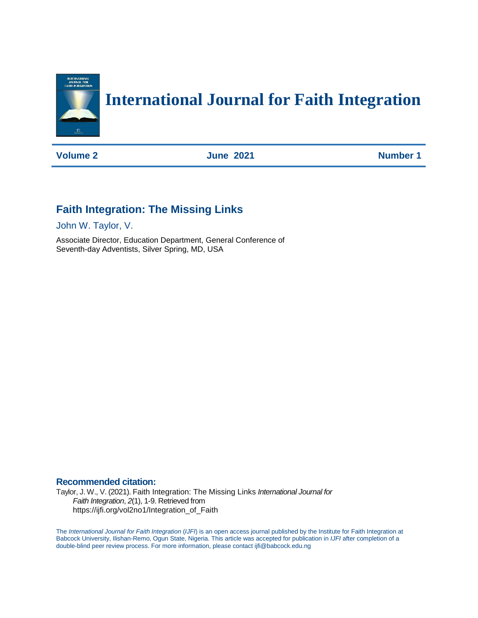

# **International Journal for Faith Integration**

**Volume 2 June 2021 Number 1** 

# **Faith Integration: The Missing Links**

John W. Taylor, V.

Associate Director, Education Department, General Conference of Seventh-day Adventists, Silver Spring, MD, USA

# **Recommended citation:**

Taylor, J. W., V. (2021). Faith Integration: The Missing Links *International Journal for Faith Integration*, *2*(1), 1-9. Retrieved from https://ijfi.org/vol2no1/Integration\_of\_Faith

The *International Journal for Faith Integration* (*IJFI*) is an open access journal published by the Institute for Faith Integration at Babcock University, Ilishan-Remo, Ogun State, Nigeria. This article was accepted for publication in *IJFI* after completion of a double-blind peer review process. For more information, please contact ijfi@babcock.edu.ng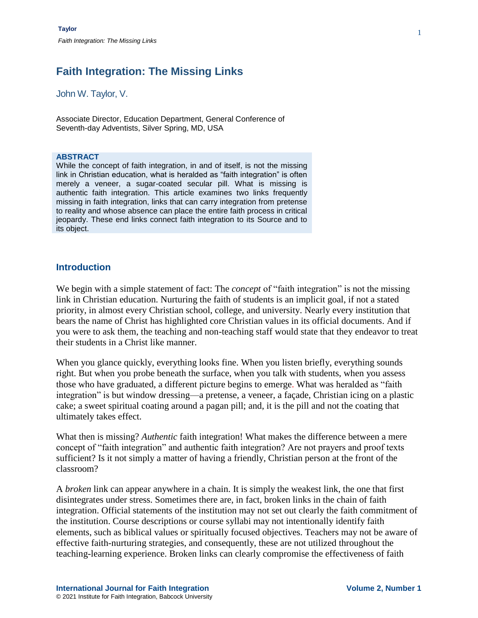John W. Taylor, V.

Associate Director, Education Department, General Conference of Seventh-day Adventists, Silver Spring, MD, USA

#### **ABSTRACT**

While the concept of faith integration, in and of itself, is not the missing link in Christian education, what is heralded as "faith integration" is often merely a veneer, a sugar-coated secular pill. What is missing is authentic faith integration. This article examines two links frequently missing in faith integration, links that can carry integration from pretense to reality and whose absence can place the entire faith process in critical jeopardy. These end links connect faith integration to its Source and to its object.

### **Introduction**

We begin with a simple statement of fact: The *concept* of "faith integration" is not the missing link in Christian education. Nurturing the faith of students is an implicit goal, if not a stated priority, in almost every Christian school, college, and university. Nearly every institution that bears the name of Christ has highlighted core Christian values in its official documents. And if you were to ask them, the teaching and non-teaching staff would state that they endeavor to treat their students in a Christ like manner.

When you glance quickly, everything looks fine. When you listen briefly, everything sounds right. But when you probe beneath the surface, when you talk with students, when you assess those who have graduated, a different picture begins to emerge. What was heralded as "faith integration" is but window dressing—a pretense, a veneer, a façade, Christian icing on a plastic cake; a sweet spiritual coating around a pagan pill; and, it is the pill and not the coating that ultimately takes effect.

What then is missing? *Authentic* faith integration! What makes the difference between a mere concept of "faith integration" and authentic faith integration? Are not prayers and proof texts sufficient? Is it not simply a matter of having a friendly, Christian person at the front of the classroom?

A *broken* link can appear anywhere in a chain. It is simply the weakest link, the one that first disintegrates under stress. Sometimes there are, in fact, broken links in the chain of faith integration. Official statements of the institution may not set out clearly the faith commitment of the institution. Course descriptions or course syllabi may not intentionally identify faith elements, such as biblical values or spiritually focused objectives. Teachers may not be aware of effective faith-nurturing strategies, and consequently, these are not utilized throughout the teaching-learning experience. Broken links can clearly compromise the effectiveness of faith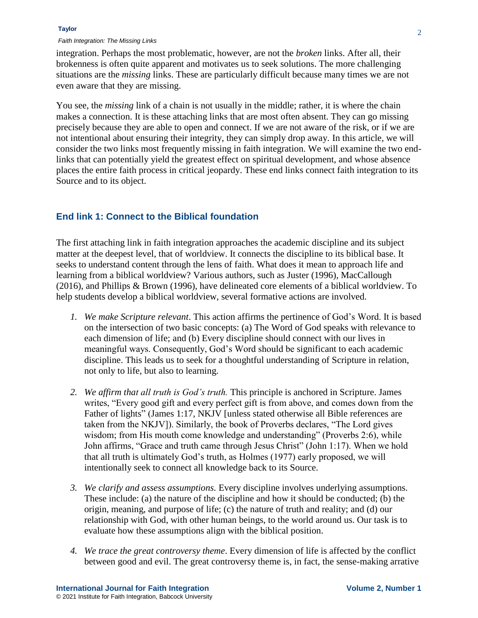#### **Taylor**

#### *Faith Integration: The Missing Links*

integration. Perhaps the most problematic, however, are not the *broken* links. After all, their brokenness is often quite apparent and motivates us to seek solutions. The more challenging situations are the *missing* links. These are particularly difficult because many times we are not even aware that they are missing.

You see, the *missing* link of a chain is not usually in the middle; rather, it is where the chain makes a connection. It is these attaching links that are most often absent. They can go missing precisely because they are able to open and connect. If we are not aware of the risk, or if we are not intentional about ensuring their integrity, they can simply drop away. In this article, we will consider the two links most frequently missing in faith integration. We will examine the two endlinks that can potentially yield the greatest effect on spiritual development, and whose absence places the entire faith process in critical jeopardy. These end links connect faith integration to its Source and to its object.

### **End link 1: Connect to the Biblical foundation**

The first attaching link in faith integration approaches the academic discipline and its subject matter at the deepest level, that of worldview. It connects the discipline to its biblical base. It seeks to understand content through the lens of faith. What does it mean to approach life and learning from a biblical worldview? Various authors, such as Juster (1996), MacCallough (2016), and Phillips & Brown (1996), have delineated core elements of a biblical worldview. To help students develop a biblical worldview, several formative actions are involved.

- *1. We make Scripture relevant*. This action affirms the pertinence of God's Word. It is based on the intersection of two basic concepts: (a) The Word of God speaks with relevance to each dimension of life; and (b) Every discipline should connect with our lives in meaningful ways. Consequently, God's Word should be significant to each academic discipline. This leads us to seek for a thoughtful understanding of Scripture in relation, not only to life, but also to learning.
- *2. We affirm that all truth is God's truth.* This principle is anchored in Scripture. James writes, "Every good gift and every perfect gift is from above, and comes down from the Father of lights" (James 1:17, NKJV [unless stated otherwise all Bible references are taken from the NKJV]). Similarly, the book of Proverbs declares, "The Lord gives wisdom; from His mouth come knowledge and understanding" (Proverbs 2:6), while John affirms, "Grace and truth came through Jesus Christ" (John 1:17). When we hold that all truth is ultimately God's truth, as Holmes (1977) early proposed, we will intentionally seek to connect all knowledge back to its Source.
- *3. We clarify and assess assumptions.* Every discipline involves underlying assumptions. These include: (a) the nature of the discipline and how it should be conducted; (b) the origin, meaning, and purpose of life; (c) the nature of truth and reality; and (d) our relationship with God, with other human beings, to the world around us. Our task is to evaluate how these assumptions align with the biblical position.
- *4. We trace the great controversy theme*. Every dimension of life is affected by the conflict between good and evil. The great controversy theme is, in fact, the sense-making arrative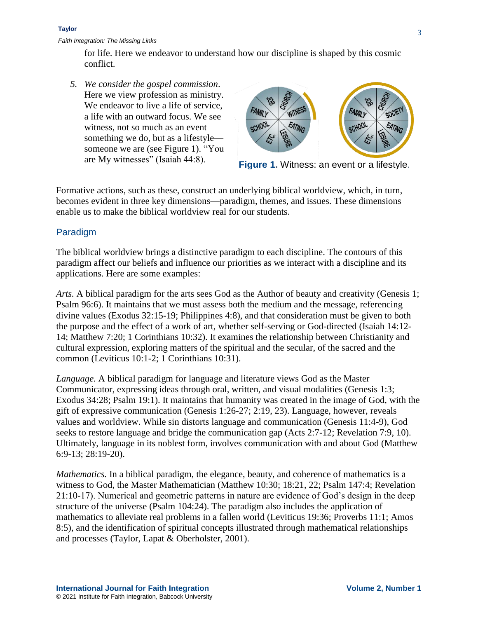for life. Here we endeavor to understand how our discipline is shaped by this cosmic conflict.

*5. We consider the gospel commission*. Here we view profession as ministry. We endeavor to live a life of service, a life with an outward focus. We see witness, not so much as an event something we do, but as a lifestyle someone we are (see Figure 1). "You are My witnesses" (Isaiah 44:8).



**Figure 1.** Witness: an event or a lifestyle.

Formative actions, such as these, construct an underlying biblical worldview, which, in turn, becomes evident in three key dimensions—paradigm, themes, and issues. These dimensions enable us to make the biblical worldview real for our students.

# Paradigm

The biblical worldview brings a distinctive paradigm to each discipline. The contours of this paradigm affect our beliefs and influence our priorities as we interact with a discipline and its applications. Here are some examples:

*Arts.* A biblical paradigm for the arts sees God as the Author of beauty and creativity (Genesis 1; Psalm 96:6). It maintains that we must assess both the medium and the message, referencing divine values (Exodus 32:15-19; Philippines 4:8), and that consideration must be given to both the purpose and the effect of a work of art, whether self-serving or God-directed (Isaiah 14:12- 14; Matthew 7:20; 1 Corinthians 10:32). It examines the relationship between Christianity and cultural expression, exploring matters of the spiritual and the secular, of the sacred and the common (Leviticus 10:1-2; 1 Corinthians 10:31).

*Language.* A biblical paradigm for language and literature views God as the Master Communicator, expressing ideas through oral, written, and visual modalities (Genesis 1:3; Exodus 34:28; Psalm 19:1). It maintains that humanity was created in the image of God, with the gift of expressive communication (Genesis 1:26-27; 2:19, 23). Language, however, reveals values and worldview. While sin distorts language and communication (Genesis 11:4-9), God seeks to restore language and bridge the communication gap (Acts 2:7-12; Revelation 7:9, 10). Ultimately, language in its noblest form, involves communication with and about God (Matthew 6:9-13; 28:19-20).

*Mathematics*. In a biblical paradigm, the elegance, beauty, and coherence of mathematics is a witness to God, the Master Mathematician (Matthew 10:30; 18:21, 22; Psalm 147:4; Revelation 21:10-17). Numerical and geometric patterns in nature are evidence of God's design in the deep structure of the universe (Psalm 104:24). The paradigm also includes the application of mathematics to alleviate real problems in a fallen world (Leviticus 19:36; Proverbs 11:1; Amos 8:5), and the identification of spiritual concepts illustrated through mathematical relationships and processes (Taylor, Lapat & Oberholster, 2001).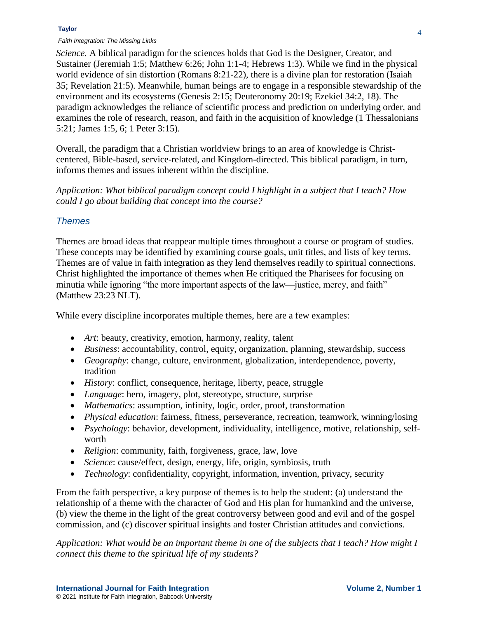#### **Taylor**

#### *Faith Integration: The Missing Links*

*Science.* A biblical paradigm for the sciences holds that God is the Designer, Creator, and Sustainer (Jeremiah 1:5; Matthew 6:26; John 1:1-4; Hebrews 1:3). While we find in the physical world evidence of sin distortion (Romans 8:21-22), there is a divine plan for restoration (Isaiah 35; Revelation 21:5). Meanwhile, human beings are to engage in a responsible stewardship of the environment and its ecosystems (Genesis 2:15; Deuteronomy 20:19; Ezekiel 34:2, 18). The paradigm acknowledges the reliance of scientific process and prediction on underlying order, and examines the role of research, reason, and faith in the acquisition of knowledge (1 Thessalonians 5:21; James 1:5, 6; 1 Peter 3:15).

Overall, the paradigm that a Christian worldview brings to an area of knowledge is Christcentered, Bible-based, service-related, and Kingdom-directed. This biblical paradigm, in turn, informs themes and issues inherent within the discipline.

*Application: What biblical paradigm concept could I highlight in a subject that I teach? How could I go about building that concept into the course?*

## *Themes*

Themes are broad ideas that reappear multiple times throughout a course or program of studies. These concepts may be identified by examining course goals, unit titles, and lists of key terms. Themes are of value in faith integration as they lend themselves readily to spiritual connections. Christ highlighted the importance of themes when He critiqued the Pharisees for focusing on minutia while ignoring "the more important aspects of the law—justice, mercy, and faith" (Matthew 23:23 NLT).

While every discipline incorporates multiple themes, here are a few examples:

- *Art*: beauty, creativity, emotion, harmony, reality, talent
- *Business*: accountability, control, equity, organization, planning, stewardship, success
- *Geography*: change, culture, environment, globalization, interdependence, poverty, tradition
- *History*: conflict, consequence, heritage, liberty, peace, struggle
- *Language*: hero, imagery, plot, stereotype, structure, surprise
- *Mathematics*: assumption, infinity, logic, order, proof, transformation
- *Physical education*: fairness, fitness, perseverance, recreation, teamwork, winning/losing
- *Psychology*: behavior, development, individuality, intelligence, motive, relationship, selfworth
- *Religion*: community, faith, forgiveness, grace, law, love
- *Science*: cause/effect, design, energy, life, origin, symbiosis, truth
- *Technology*: confidentiality, copyright, information, invention, privacy, security

From the faith perspective, a key purpose of themes is to help the student: (a) understand the relationship of a theme with the character of God and His plan for humankind and the universe, (b) view the theme in the light of the great controversy between good and evil and of the gospel commission, and (c) discover spiritual insights and foster Christian attitudes and convictions.

*Application: What would be an important theme in one of the subjects that I teach? How might I connect this theme to the spiritual life of my students?*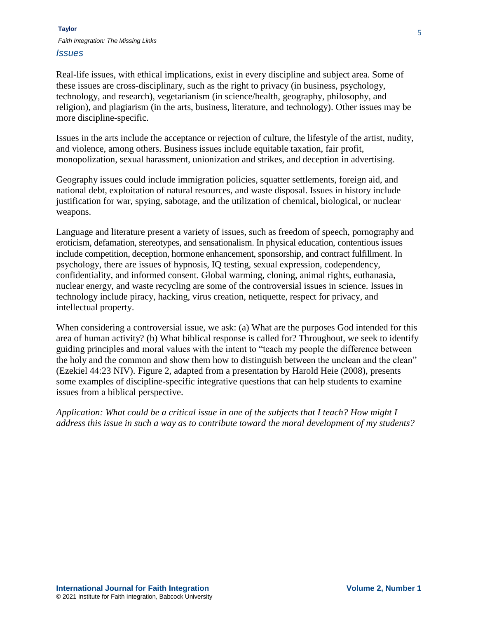Real-life issues, with ethical implications, exist in every discipline and subject area. Some of these issues are cross-disciplinary, such as the right to privacy (in business, psychology, technology, and research), vegetarianism (in science/health, geography, philosophy, and religion), and plagiarism (in the arts, business, literature, and technology). Other issues may be more discipline-specific.

Issues in the arts include the acceptance or rejection of culture, the lifestyle of the artist, nudity, and violence, among others. Business issues include equitable taxation, fair profit, monopolization, sexual harassment, unionization and strikes, and deception in advertising.

Geography issues could include immigration policies, squatter settlements, foreign aid, and national debt, exploitation of natural resources, and waste disposal. Issues in history include justification for war, spying, sabotage, and the utilization of chemical, biological, or nuclear weapons.

Language and literature present a variety of issues, such as freedom of speech, pornography and eroticism, defamation, stereotypes, and sensationalism. In physical education, contentious issues include competition, deception, hormone enhancement, sponsorship, and contract fulfillment. In psychology, there are issues of hypnosis, IQ testing, sexual expression, codependency, confidentiality, and informed consent. Global warming, cloning, animal rights, euthanasia, nuclear energy, and waste recycling are some of the controversial issues in science. Issues in technology include piracy, hacking, virus creation, netiquette, respect for privacy, and intellectual property.

When considering a controversial issue, we ask: (a) What are the purposes God intended for this area of human activity? (b) What biblical response is called for? Throughout, we seek to identify guiding principles and moral values with the intent to "teach my people the difference between the holy and the common and show them how to distinguish between the unclean and the clean" (Ezekiel 44:23 NIV). Figure 2, adapted from a presentation by Harold Heie (2008), presents some examples of discipline-specific integrative questions that can help students to examine issues from a biblical perspective.

*Application: What could be a critical issue in one of the subjects that I teach? How might I address this issue in such a way as to contribute toward the moral development of my students?*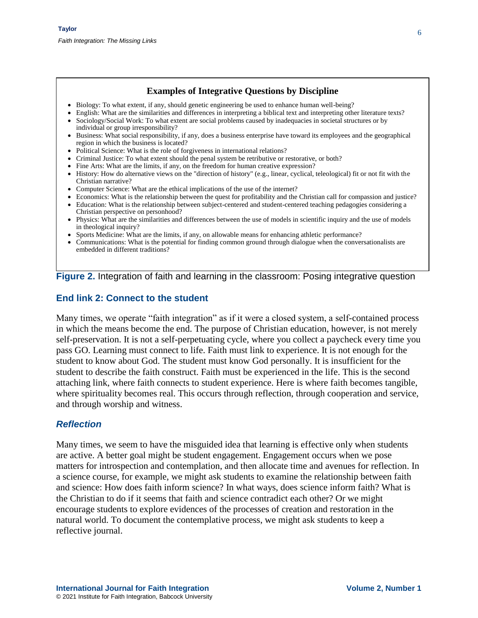# **Examples of Integrative Questions by Discipline**

- Biology: To what extent, if any, should genetic engineering be used to enhance human well-being?
- English: What are the similarities and differences in interpreting a biblical text and interpreting other literature texts? Sociology/Social Work: To what extent are social problems caused by inadequacies in societal structures or by
- individual or group irresponsibility? Business: What social responsibility, if any, does a business enterprise have toward its employees and the geographical region in which the business is located?
- Political Science: What is the role of forgiveness in international relations?
- Criminal Justice: To what extent should the penal system be retributive or restorative, or both?
- Fine Arts: What are the limits, if any, on the freedom for human creative expression?
- History: How do alternative views on the "direction of history" (e.g., linear, cyclical, teleological) fit or not fit with the Christian narrative?
- Computer Science: What are the ethical implications of the use of the internet?
- Economics: What is the relationship between the quest for profitability and the Christian call for compassion and justice?
- Education: What is the relationship between subject-centered and student-centered teaching pedagogies considering a Christian perspective on personhood?
- Physics: What are the similarities and differences between the use of models in scientific inquiry and the use of models in theological inquiry?
- Sports Medicine: What are the limits, if any, on allowable means for enhancing athletic performance?
- Communications: What is the potential for finding common ground through dialogue when the conversationalists are embedded in different traditions?

### **Figure 2.** Integration of faith and learning in the classroom: Posing integrative question

# **End link 2: Connect to the student**

Many times, we operate "faith integration" as if it were a closed system, a self-contained process in which the means become the end. The purpose of Christian education, however, is not merely self-preservation. It is not a self-perpetuating cycle, where you collect a paycheck every time you pass GO. Learning must connect to life. Faith must link to experience. It is not enough for the student to know about God. The student must know God personally. It is insufficient for the student to describe the faith construct. Faith must be experienced in the life. This is the second attaching link, where faith connects to student experience. Here is where faith becomes tangible, where spirituality becomes real. This occurs through reflection, through cooperation and service, and through worship and witness.

## *Reflection*

Many times, we seem to have the misguided idea that learning is effective only when students are active. A better goal might be student engagement. Engagement occurs when we pose matters for introspection and contemplation, and then allocate time and avenues for reflection. In a science course, for example, we might ask students to examine the relationship between faith and science: How does faith inform science? In what ways, does science inform faith? What is the Christian to do if it seems that faith and science contradict each other? Or we might encourage students to explore evidences of the processes of creation and restoration in the natural world. To document the contemplative process, we might ask students to keep a reflective journal.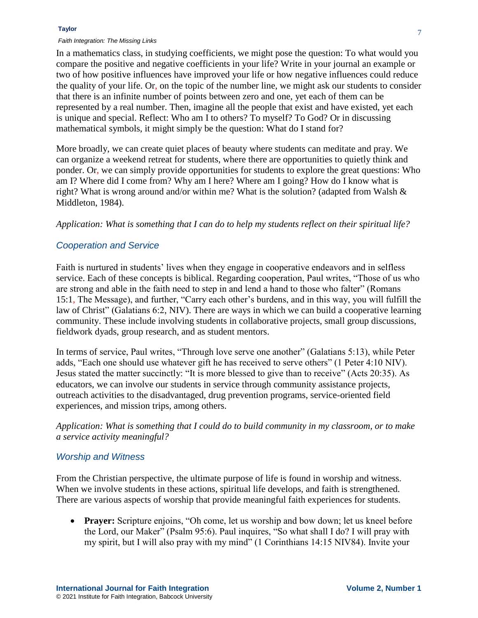In a mathematics class, in studying coefficients, we might pose the question: To what would you compare the positive and negative coefficients in your life? Write in your journal an example or two of how positive influences have improved your life or how negative influences could reduce the quality of your life. Or, on the topic of the number line, we might ask our students to consider that there is an infinite number of points between zero and one, yet each of them can be represented by a real number. Then, imagine all the people that exist and have existed, yet each is unique and special. Reflect: Who am I to others? To myself? To God? Or in discussing mathematical symbols, it might simply be the question: What do I stand for?

More broadly, we can create quiet places of beauty where students can meditate and pray. We can organize a weekend retreat for students, where there are opportunities to quietly think and ponder. Or, we can simply provide opportunities for students to explore the great questions: Who am I? Where did I come from? Why am I here? Where am I going? How do I know what is right? What is wrong around and/or within me? What is the solution? (adapted from Walsh & Middleton, 1984).

#### *Application: What is something that I can do to help my students reflect on their spiritual life?*

### *Cooperation and Service*

Faith is nurtured in students' lives when they engage in cooperative endeavors and in selfless service. Each of these concepts is biblical. Regarding cooperation, Paul writes, "Those of us who are strong and able in the faith need to step in and lend a hand to those who falter" (Romans 15:1, The Message), and further, "Carry each other's burdens, and in this way, you will fulfill the law of Christ" (Galatians 6:2, NIV). There are ways in which we can build a cooperative learning community. These include involving students in collaborative projects, small group discussions, fieldwork dyads, group research, and as student mentors.

In terms of service, Paul writes, "Through love serve one another" (Galatians 5:13), while Peter adds, "Each one should use whatever gift he has received to serve others" (1 Peter 4:10 NIV). Jesus stated the matter succinctly: "It is more blessed to give than to receive" (Acts 20:35). As educators, we can involve our students in service through community assistance projects, outreach activities to the disadvantaged, drug prevention programs, service-oriented field experiences, and mission trips, among others.

*Application: What is something that I could do to build community in my classroom, or to make a service activity meaningful?*

#### *Worship and Witness*

From the Christian perspective, the ultimate purpose of life is found in worship and witness. When we involve students in these actions, spiritual life develops, and faith is strengthened. There are various aspects of worship that provide meaningful faith experiences for students.

 **Prayer:** Scripture enjoins, "Oh come, let us worship and bow down; let us kneel before the Lord, our Maker" (Psalm 95:6). Paul inquires, "So what shall I do? I will pray with my spirit, but I will also pray with my mind" (1 Corinthians 14:15 NIV84). Invite your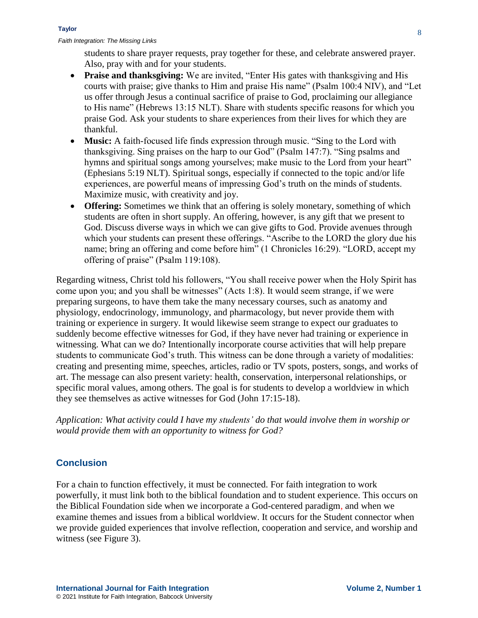students to share prayer requests, pray together for these, and celebrate answered prayer. Also, pray with and for your students.

- **Praise and thanksgiving:** We are invited, "Enter His gates with thanksgiving and His courts with praise; give thanks to Him and praise His name" (Psalm 100:4 NIV), and "Let us offer through Jesus a continual sacrifice of praise to God, proclaiming our allegiance to His name" (Hebrews 13:15 NLT). Share with students specific reasons for which you praise God. Ask your students to share experiences from their lives for which they are thankful.
- **Music:** A faith-focused life finds expression through music. "Sing to the Lord with thanksgiving. Sing praises on the harp to our God" (Psalm 147:7). "Sing psalms and hymns and spiritual songs among yourselves; make music to the Lord from your heart" (Ephesians 5:19 NLT). Spiritual songs, especially if connected to the topic and/or life experiences, are powerful means of impressing God's truth on the minds of students. Maximize music, with creativity and joy.
- **Offering:** Sometimes we think that an offering is solely monetary, something of which students are often in short supply. An offering, however, is any gift that we present to God. Discuss diverse ways in which we can give gifts to God. Provide avenues through which your students can present these offerings. "Ascribe to the LORD the glory due his name; bring an offering and come before him" (1 Chronicles 16:29). "LORD, accept my offering of praise" (Psalm 119:108).

Regarding witness, Christ told his followers, "You shall receive power when the Holy Spirit has come upon you; and you shall be witnesses" (Acts 1:8). It would seem strange, if we were preparing surgeons, to have them take the many necessary courses, such as anatomy and physiology, endocrinology, immunology, and pharmacology, but never provide them with training or experience in surgery. It would likewise seem strange to expect our graduates to suddenly become effective witnesses for God, if they have never had training or experience in witnessing. What can we do? Intentionally incorporate course activities that will help prepare students to communicate God's truth. This witness can be done through a variety of modalities: creating and presenting mime, speeches, articles, radio or TV spots, posters, songs, and works of art. The message can also present variety: health, conservation, interpersonal relationships, or specific moral values, among others. The goal is for students to develop a worldview in which they see themselves as active witnesses for God (John 17:15-18).

*Application: What activity could I have my students' do that would involve them in worship or would provide them with an opportunity to witness for God?*

# **Conclusion**

For a chain to function effectively, it must be connected. For faith integration to work powerfully, it must link both to the biblical foundation and to student experience. This occurs on the Biblical Foundation side when we incorporate a God-centered paradigm, and when we examine themes and issues from a biblical worldview. It occurs for the Student connector when we provide guided experiences that involve reflection, cooperation and service, and worship and witness (see Figure 3).